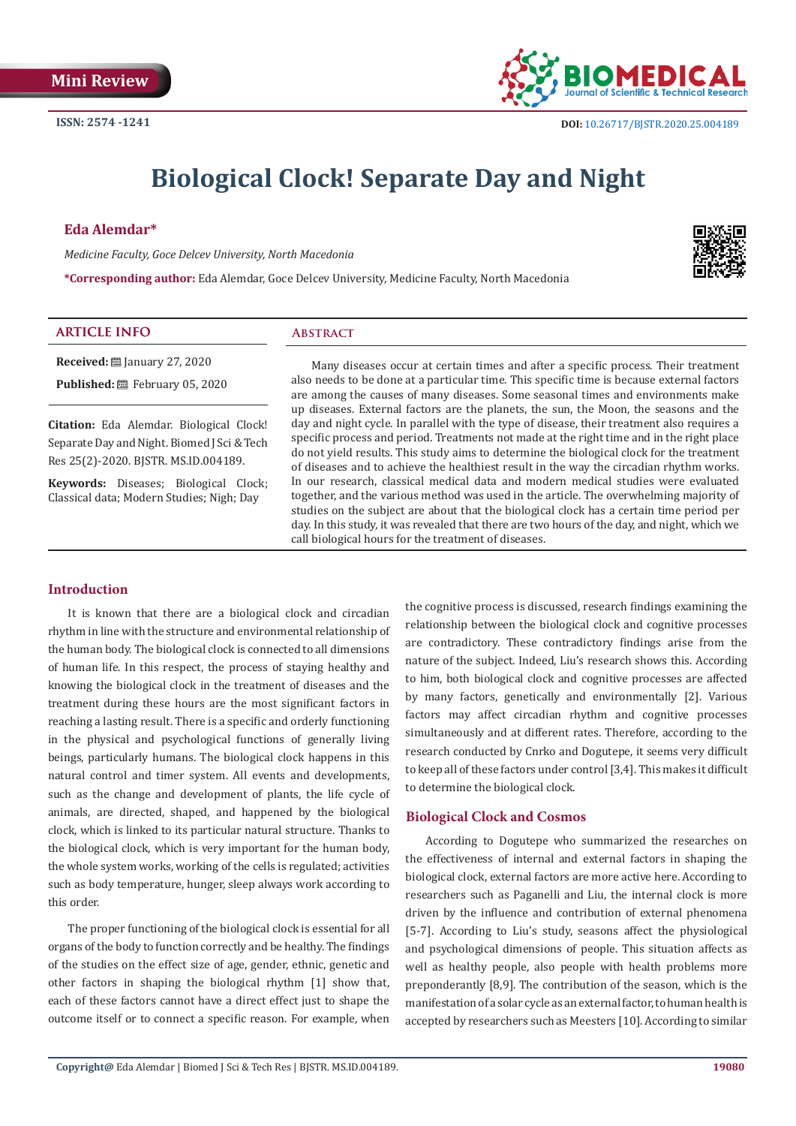

# **Biological Clock! Separate Day and Night**

### **Eda Alemdar\***

*Medicine Faculty, Goce Delcev University, North Macedonia*

**\*Corresponding author:** Eda Alemdar, Goce Delcev University, Medicine Faculty, North Macedonia



#### **ARTICLE INFO Abstract**

**Received:** January 27, 2020 **Published:** February 05, 2020

**Citation:** Eda Alemdar. Biological Clock! Separate Day and Night. Biomed J Sci & Tech Res 25(2)-2020. BJSTR. MS.ID.004189.

**Keywords:** Diseases; Biological Clock; Classical data; Modern Studies; Nigh; Day

Many diseases occur at certain times and after a specific process. Their treatment also needs to be done at a particular time. This specific time is because external factors are among the causes of many diseases. Some seasonal times and environments make up diseases. External factors are the planets, the sun, the Moon, the seasons and the day and night cycle. In parallel with the type of disease, their treatment also requires a specific process and period. Treatments not made at the right time and in the right place do not yield results. This study aims to determine the biological clock for the treatment of diseases and to achieve the healthiest result in the way the circadian rhythm works. In our research, classical medical data and modern medical studies were evaluated together, and the various method was used in the article. The overwhelming majority of studies on the subject are about that the biological clock has a certain time period per day. In this study, it was revealed that there are two hours of the day, and night, which we call biological hours for the treatment of diseases.

#### **Introduction**

It is known that there are a biological clock and circadian rhythm in line with the structure and environmental relationship of the human body. The biological clock is connected to all dimensions of human life. In this respect, the process of staying healthy and knowing the biological clock in the treatment of diseases and the treatment during these hours are the most significant factors in reaching a lasting result. There is a specific and orderly functioning in the physical and psychological functions of generally living beings, particularly humans. The biological clock happens in this natural control and timer system. All events and developments, such as the change and development of plants, the life cycle of animals, are directed, shaped, and happened by the biological clock, which is linked to its particular natural structure. Thanks to the biological clock, which is very important for the human body, the whole system works, working of the cells is regulated; activities such as body temperature, hunger, sleep always work according to this order.

The proper functioning of the biological clock is essential for all organs of the body to function correctly and be healthy. The findings of the studies on the effect size of age, gender, ethnic, genetic and other factors in shaping the biological rhythm [1] show that, each of these factors cannot have a direct effect just to shape the outcome itself or to connect a specific reason. For example, when

the cognitive process is discussed, research findings examining the relationship between the biological clock and cognitive processes are contradictory. These contradictory findings arise from the nature of the subject. Indeed, Liu's research shows this. According to him, both biological clock and cognitive processes are affected by many factors, genetically and environmentally [2]. Various factors may affect circadian rhythm and cognitive processes simultaneously and at different rates. Therefore, according to the research conducted by Cnrko and Dogutepe, it seems very difficult to keep all of these factors under control [3,4]. This makes it difficult to determine the biological clock.

#### **Biological Clock and Cosmos**

According to Dogutepe who summarized the researches on the effectiveness of internal and external factors in shaping the biological clock, external factors are more active here. According to researchers such as Paganelli and Liu, the internal clock is more driven by the influence and contribution of external phenomena [5-7]. According to Liu's study, seasons affect the physiological and psychological dimensions of people. This situation affects as well as healthy people, also people with health problems more preponderantly [8,9]. The contribution of the season, which is the manifestation of a solar cycle as an external factor, to human health is accepted by researchers such as Meesters [10]. According to similar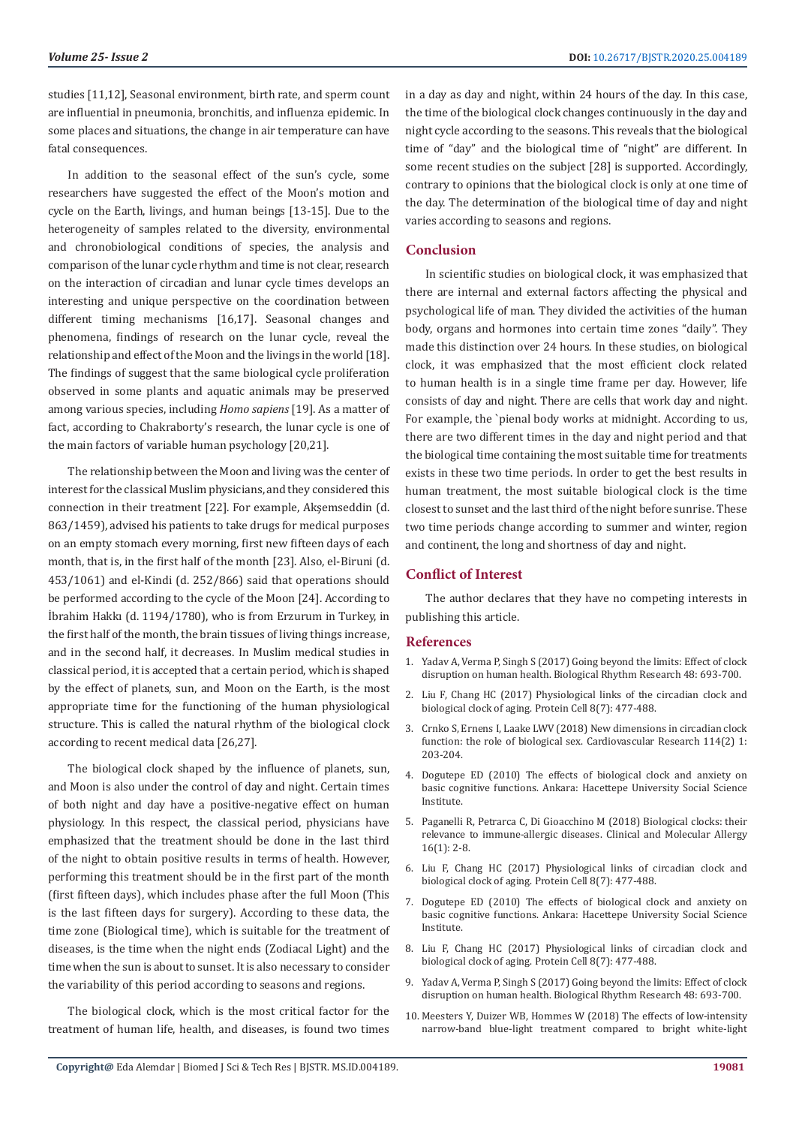studies [11,12], Seasonal environment, birth rate, and sperm count are influential in pneumonia, bronchitis, and influenza epidemic. In some places and situations, the change in air temperature can have fatal consequences.

In addition to the seasonal effect of the sun's cycle, some researchers have suggested the effect of the Moon's motion and cycle on the Earth, livings, and human beings [13-15]. Due to the heterogeneity of samples related to the diversity, environmental and chronobiological conditions of species, the analysis and comparison of the lunar cycle rhythm and time is not clear, research on the interaction of circadian and lunar cycle times develops an interesting and unique perspective on the coordination between different timing mechanisms [16,17]. Seasonal changes and phenomena, findings of research on the lunar cycle, reveal the relationship and effect of the Moon and the livings in the world [18]. The findings of suggest that the same biological cycle proliferation observed in some plants and aquatic animals may be preserved among various species, including *Homo sapiens* [19]. As a matter of fact, according to Chakraborty's research, the lunar cycle is one of the main factors of variable human psychology [20,21].

The relationship between the Moon and living was the center of interest for the classical Muslim physicians, and they considered this connection in their treatment [22]. For example, Akşemseddin (d. 863/1459), advised his patients to take drugs for medical purposes on an empty stomach every morning, first new fifteen days of each month, that is, in the first half of the month [23]. Also, el-Biruni (d. 453/1061) and el-Kindi (d. 252/866) said that operations should be performed according to the cycle of the Moon [24]. According to İbrahim Hakkı (d. 1194/1780), who is from Erzurum in Turkey, in the first half of the month, the brain tissues of living things increase, and in the second half, it decreases. In Muslim medical studies in classical period, it is accepted that a certain period, which is shaped by the effect of planets, sun, and Moon on the Earth, is the most appropriate time for the functioning of the human physiological structure. This is called the natural rhythm of the biological clock according to recent medical data [26,27].

The biological clock shaped by the influence of planets, sun, and Moon is also under the control of day and night. Certain times of both night and day have a positive-negative effect on human physiology. In this respect, the classical period, physicians have emphasized that the treatment should be done in the last third of the night to obtain positive results in terms of health. However, performing this treatment should be in the first part of the month (first fifteen days), which includes phase after the full Moon (This is the last fifteen days for surgery). According to these data, the time zone (Biological time), which is suitable for the treatment of diseases, is the time when the night ends (Zodiacal Light) and the time when the sun is about to sunset. It is also necessary to consider the variability of this period according to seasons and regions.

The biological clock, which is the most critical factor for the treatment of human life, health, and diseases, is found two times in a day as day and night, within 24 hours of the day. In this case, the time of the biological clock changes continuously in the day and night cycle according to the seasons. This reveals that the biological time of "day" and the biological time of "night" are different. In some recent studies on the subject [28] is supported. Accordingly, contrary to opinions that the biological clock is only at one time of the day. The determination of the biological time of day and night varies according to seasons and regions.

## **Conclusion**

In scientific studies on biological clock, it was emphasized that there are internal and external factors affecting the physical and psychological life of man. They divided the activities of the human body, organs and hormones into certain time zones "daily". They made this distinction over 24 hours. In these studies, on biological clock, it was emphasized that the most efficient clock related to human health is in a single time frame per day. However, life consists of day and night. There are cells that work day and night. For example, the `pienal body works at midnight. According to us, there are two different times in the day and night period and that the biological time containing the most suitable time for treatments exists in these two time periods. In order to get the best results in human treatment, the most suitable biological clock is the time closest to sunset and the last third of the night before sunrise. These two time periods change according to summer and winter, region and continent, the long and shortness of day and night.

#### **Conflict of Interest**

The author declares that they have no competing interests in publishing this article.

#### **References**

- 1. [Yadav A, Verma P, Singh S \(2017\) Going beyond the limits: Effect of clock](https://www.tandfonline.com/doi/abs/10.1080/09291016.2017.1345428?journalCode=nbrr20) [disruption on human health. Biological Rhythm Research 48: 693-700.](https://www.tandfonline.com/doi/abs/10.1080/09291016.2017.1345428?journalCode=nbrr20)
- 2. [Liu F, Chang HC \(2017\) Physiological links of the circadian clock and](https://link.springer.com/article/10.1007/s13238-016-0366-2) [biological clock of aging. Protein Cell 8\(7\): 477-488.](https://link.springer.com/article/10.1007/s13238-016-0366-2)
- 3. [Crnko S, Ernens I, Laake LWV \(2018\) New dimensions in circadian clock](https://www.ncbi.nlm.nih.gov/pubmed/29237084) [function: the role of biological sex. Cardiovascular Research 114\(2\) 1:](https://www.ncbi.nlm.nih.gov/pubmed/29237084) [203-204.](https://www.ncbi.nlm.nih.gov/pubmed/29237084)
- 4. Dogutepe ED (2010) The effects of biological clock and anxiety on basic cognitive functions. Ankara: Hacettepe University Social Science Institute.
- 5. [Paganelli R, Petrarca C, Di Gioacchino M \(2018\) Biological clocks: their](https://www.ncbi.nlm.nih.gov/pmc/articles/PMC5763605/) [relevance to immune-allergic diseases. Clinical and Molecular Allergy](https://www.ncbi.nlm.nih.gov/pmc/articles/PMC5763605/) [16\(1\): 2-8.](https://www.ncbi.nlm.nih.gov/pmc/articles/PMC5763605/)
- 6. [Liu F, Chang HC \(2017\) Physiological links of circadian clock and](https://www.ncbi.nlm.nih.gov/pubmed/28108951) [biological clock of aging. Protein Cell 8\(7\): 477-488.](https://www.ncbi.nlm.nih.gov/pubmed/28108951)
- 7. Dogutepe ED (2010) The effects of biological clock and anxiety on basic cognitive functions. Ankara: Hacettepe University Social Science Institute.
- 8. [Liu F, Chang HC \(2017\) Physiological links of circadian clock and](https://www.ncbi.nlm.nih.gov/pubmed/28108951) [biological clock of aging. Protein Cell 8\(7\): 477-488.](https://www.ncbi.nlm.nih.gov/pubmed/28108951)
- 9. [Yadav A, Verma P, Singh S \(2017\) Going beyond the limits: Effect of clock](https://www.tandfonline.com/doi/abs/10.1080/09291016.2017.1345428?journalCode=nbrr20) [disruption on human health. Biological Rhythm Research 48: 693-700.](https://www.tandfonline.com/doi/abs/10.1080/09291016.2017.1345428?journalCode=nbrr20)
- 10. [Meesters Y, Duizer WB, Hommes W \(2018\) The effects of low-intensity](https://www.ncbi.nlm.nih.gov/pubmed/29477098) [narrow-band blue-light treatment compared to bright white-light](https://www.ncbi.nlm.nih.gov/pubmed/29477098)